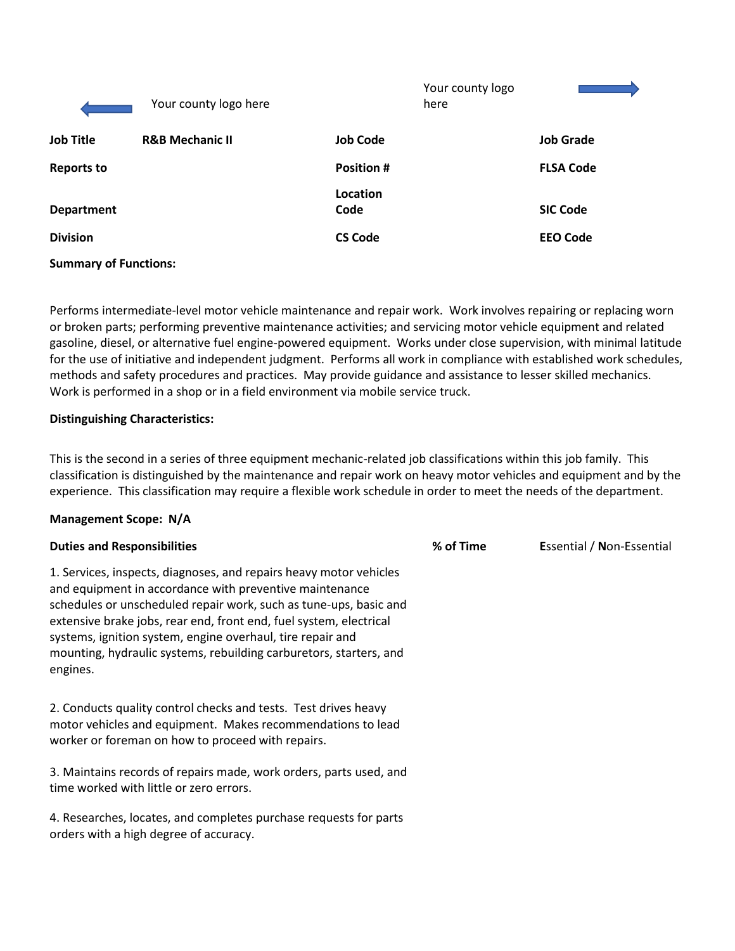|                              | Your county logo here      |                  | Your county logo<br>here |                  |
|------------------------------|----------------------------|------------------|--------------------------|------------------|
| <b>Job Title</b>             | <b>R&amp;B Mechanic II</b> | <b>Job Code</b>  |                          | <b>Job Grade</b> |
| <b>Reports to</b>            |                            | <b>Position#</b> |                          | <b>FLSA Code</b> |
| <b>Department</b>            |                            | Location<br>Code |                          | <b>SIC Code</b>  |
| <b>Division</b>              |                            | <b>CS Code</b>   |                          | <b>EEO Code</b>  |
| <b>Summary of Functions:</b> |                            |                  |                          |                  |

Performs intermediate-level motor vehicle maintenance and repair work. Work involves repairing or replacing worn or broken parts; performing preventive maintenance activities; and servicing motor vehicle equipment and related gasoline, diesel, or alternative fuel engine-powered equipment. Works under close supervision, with minimal latitude for the use of initiative and independent judgment. Performs all work in compliance with established work schedules, methods and safety procedures and practices. May provide guidance and assistance to lesser skilled mechanics. Work is performed in a shop or in a field environment via mobile service truck.

### **Distinguishing Characteristics:**

This is the second in a series of three equipment mechanic-related job classifications within this job family. This classification is distinguished by the maintenance and repair work on heavy motor vehicles and equipment and by the experience. This classification may require a flexible work schedule in order to meet the needs of the department.

#### **Management Scope: N/A**

| <b>Duties and Responsibilities</b>                                                                                                                                                                                                                                                                                                                                                                                       | % of Time | <b>Essential / Non-Essential</b> |
|--------------------------------------------------------------------------------------------------------------------------------------------------------------------------------------------------------------------------------------------------------------------------------------------------------------------------------------------------------------------------------------------------------------------------|-----------|----------------------------------|
| 1. Services, inspects, diagnoses, and repairs heavy motor vehicles<br>and equipment in accordance with preventive maintenance<br>schedules or unscheduled repair work, such as tune-ups, basic and<br>extensive brake jobs, rear end, front end, fuel system, electrical<br>systems, ignition system, engine overhaul, tire repair and<br>mounting, hydraulic systems, rebuilding carburetors, starters, and<br>engines. |           |                                  |
| 2. Conducts quality control checks and tests. Test drives heavy<br>motor vehicles and equipment. Makes recommendations to lead<br>worker or foreman on how to proceed with repairs.                                                                                                                                                                                                                                      |           |                                  |
| 3. Maintains records of repairs made, work orders, parts used, and<br>time worked with little or zero errors.                                                                                                                                                                                                                                                                                                            |           |                                  |
| 4. Researches, locates, and completes purchase requests for parts<br>orders with a high degree of accuracy.                                                                                                                                                                                                                                                                                                              |           |                                  |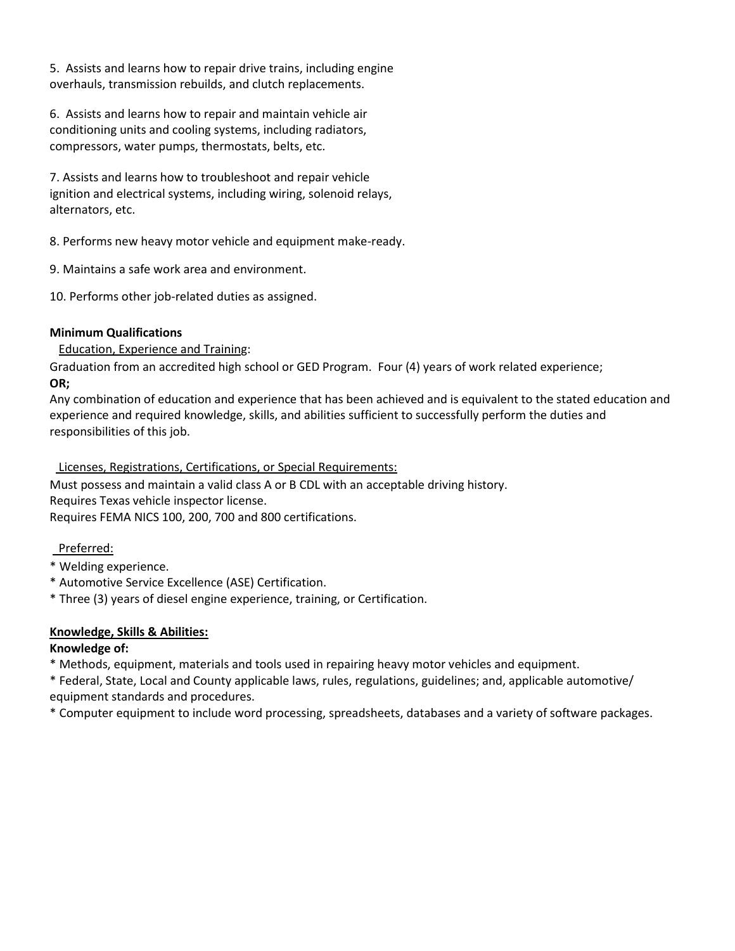5. Assists and learns how to repair drive trains, including engine overhauls, transmission rebuilds, and clutch replacements.

6. Assists and learns how to repair and maintain vehicle air conditioning units and cooling systems, including radiators, compressors, water pumps, thermostats, belts, etc.

7. Assists and learns how to troubleshoot and repair vehicle ignition and electrical systems, including wiring, solenoid relays, alternators, etc.

8. Performs new heavy motor vehicle and equipment make-ready.

9. Maintains a safe work area and environment.

10. Performs other job-related duties as assigned.

## **Minimum Qualifications**

Education, Experience and Training:

Graduation from an accredited high school or GED Program. Four (4) years of work related experience; **OR;**

Any combination of education and experience that has been achieved and is equivalent to the stated education and experience and required knowledge, skills, and abilities sufficient to successfully perform the duties and responsibilities of this job.

Licenses, Registrations, Certifications, or Special Requirements:

Must possess and maintain a valid class A or B CDL with an acceptable driving history. Requires Texas vehicle inspector license.

Requires FEMA NICS 100, 200, 700 and 800 certifications.

### Preferred:

- \* Welding experience.
- \* Automotive Service Excellence (ASE) Certification.
- \* Three (3) years of diesel engine experience, training, or Certification.

# **Knowledge, Skills & Abilities:**

# **Knowledge of:**

\* Methods, equipment, materials and tools used in repairing heavy motor vehicles and equipment.

\* Federal, State, Local and County applicable laws, rules, regulations, guidelines; and, applicable automotive/ equipment standards and procedures.

\* Computer equipment to include word processing, spreadsheets, databases and a variety of software packages.